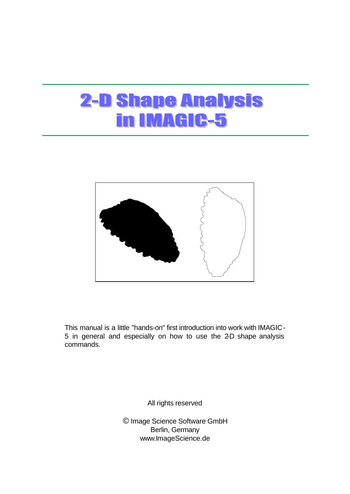# **2-D Shape Analysis** in IMAGIC-5



This manual is a little "hands-on" first introduction into work with IMAGIC-5 in general and especially on how to use the 2-D shape analysis commands.

All rights reserved

© Image Science Software GmbH Berlin, Germany www.ImageScience.de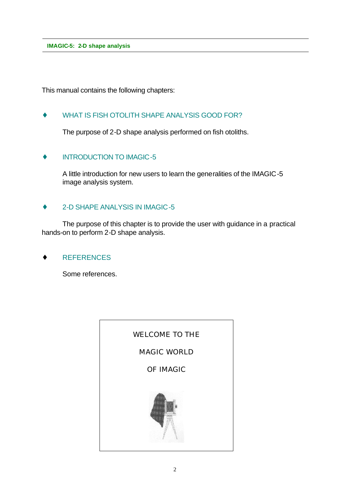This manual contains the following chapters:

### ♦ WHAT IS FISH OTOLITH SHAPE ANALYSIS GOOD FOR?

The purpose of 2-D shape analysis performed on fish otoliths.

#### INTRODUCTION TO IMAGIC-5

A little introduction for new users to learn the generalities of the IMAGIC-5 image analysis system.

#### 2-D SHAPE ANALYSIS IN IMAGIC-5

The purpose of this chapter is to provide the user with guidance in a practical hands-on to perform 2-D shape analysis.

**REFERENCES** 

Some references.

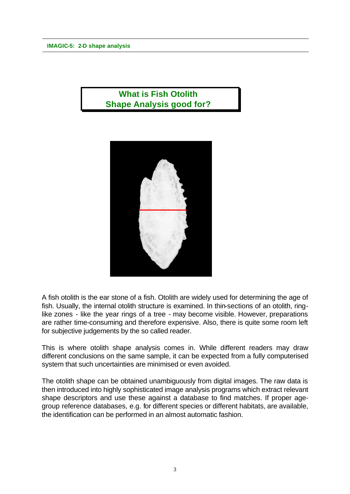# **What is Fish Otolith Shape Analysis good for?**



A fish otolith is the ear stone of a fish. Otolith are widely used for determining the age of fish. Usually, the internal otolith structure is examined. In thin-sections of an otolith, ringlike zones - like the year rings of a tree - may become visible. However, preparations are rather time-consuming and therefore expensive. Also, there is quite some room left for subjective judgements by the so called reader.

This is where otolith shape analysis comes in. While different readers may draw different conclusions on the same sample, it can be expected from a fully computerised system that such uncertainties are minimised or even avoided.

The otolith shape can be obtained unambiguously from digital images. The raw data is then introduced into highly sophisticated image analysis programs which extract relevant shape descriptors and use these against a database to find matches. If proper agegroup reference databases, e.g. for different species or different habitats, are available, the identification can be performed in an almost automatic fashion.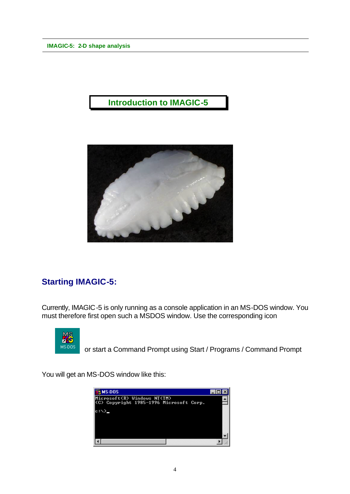# **Introduction to IMAGIC-5**



# **Starting IMAGIC-5:**

Currently, IMAGIC-5 is only running as a console application in an MS-DOS window. You must therefore first open such a MSDOS window. Use the corresponding icon



or start a Command Prompt using Start / Programs / Command Prompt

You will get an MS-DOS window like this:

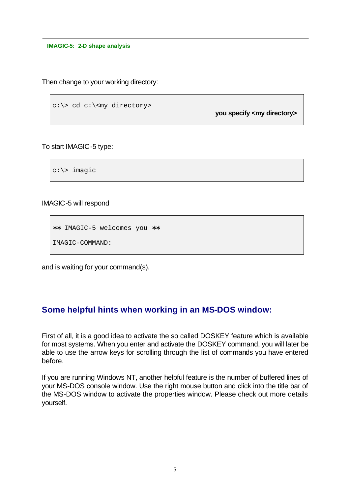Then change to your working directory:

```
c:\> cd c:\<my directory>
```
**you specify <my directory>**

To start IMAGIC-5 type:

c:\> imagic

IMAGIC-5 will respond

```
∗∗ IMAGIC-5 welcomes you ∗∗
IMAGIC-COMMAND:
```
and is waiting for your command(s).

### **Some helpful hints when working in an MS-DOS window:**

First of all, it is a good idea to activate the so called DOSKEY feature which is available for most systems. When you enter and activate the DOSKEY command, you will later be able to use the arrow keys for scrolling through the list of commands you have entered before.

If you are running Windows NT, another helpful feature is the number of buffered lines of your MS-DOS console window. Use the right mouse button and click into the title bar of the MS-DOS window to activate the properties window. Please check out more details yourself.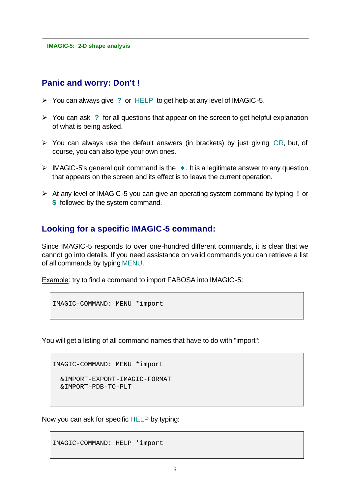### **Panic and worry: Don't !**

- ÿ You can always give **?** or HELP to get help at any level of IMAGIC-5.
- ÿ You can ask **?** for all questions that appear on the screen to get helpful explanation of what is being asked.
- $\triangleright$  You can always use the default answers (in brackets) by just giving CR, but, of course, you can also type your own ones.
- ÿ IMAGIC-5's general quit command is the **\*** . It is a legitimate answer to any question that appears on the screen and its effect is to leave the current operation.
- ÿ At any level of IMAGIC-5 you can give an operating system command by typing **!** or **\$** followed by the system command.

### **Looking for a specific IMAGIC-5 command:**

Since IMAGIC-5 responds to over one-hundred different commands, it is clear that we cannot go into details. If you need assistance on valid commands you can retrieve a list of all commands by typing MENU.

Example: try to find a command to import FABOSA into IMAGIC-5:

```
IMAGIC-COMMAND: MENU *import
```
You will get a listing of all command names that have to do with "import":

```
IMAGIC-COMMAND: MENU *import
```

```
 &IMPORT-EXPORT-IMAGIC-FORMAT
 &IMPORT-PDB-TO-PLT
```
Now you can ask for specific HELP by typing:

IMAGIC-COMMAND: HELP \*import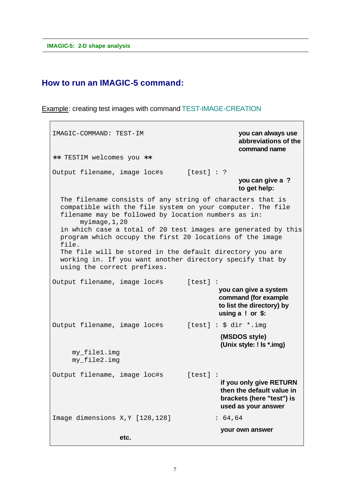### **How to run an IMAGIC-5 command:**

Example: creating test images with command TEST-IMAGE-CREATION

IMAGIC-COMMAND: TEST-IM **you can always use abbreviations of the command name** ∗∗ TESTIM welcomes you ∗∗ Output filename, image loc#s [test] : ? **you can give a ? to get help:** The filename consists of any string of characters that is compatible with the file system on your computer. The file filename may be followed by location numbers as in: myimage,1,20 in which case a total of 20 test images are generated by this program which occupy the first 20 locations of the image file. The file will be stored in the default directory you are working in. If you want another directory specify that by using the correct prefixes. Output filename, image loc#s [test] : **you can give a system command (for example to list the directory) by using a ! or \$:** Output filename, image loc#s [test] : \$ dir \*.img **(MSDOS style) (Unix style: ! ls \*.img)** my\_file1.img my\_file2.img Output filename, image loc#s [test] : **if you only give RETURN then the default value in brackets (here "test") is used as your answer** Image dimensions X, Y [128, 128] : 64, 64 **your own answer etc.**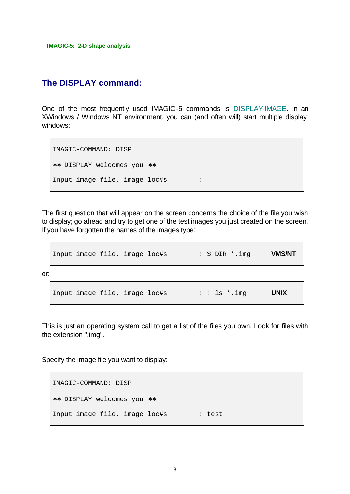### **The DISPLAY command:**

One of the most frequently used IMAGIC-5 commands is DISPLAY-IMAGE. In an XWindows / Windows NT environment, you can (and often will) start multiple display windows:

```
IMAGIC-COMMAND: DISP
∗∗ DISPLAY welcomes you ∗∗
Input image file, image loc#s :
```
The first question that will appear on the screen concerns the choice of the file you wish to display; go ahead and try to get one of the test images you just created on the screen. If you have forgotten the names of the images type:

|     |  | Input image file, image loc#s |  |  | : \$ DIR *.img | <b>VMS/NT</b> |
|-----|--|-------------------------------|--|--|----------------|---------------|
| or: |  |                               |  |  |                |               |
|     |  | Input image file, image loc#s |  |  | : ! $ls$ *.img | <b>UNIX</b>   |

This is just an operating system call to get a list of the files you own. Look for files with the extension ".img".

Specify the image file you want to display:

```
IMAGIC-COMMAND: DISP
∗∗ DISPLAY welcomes you ∗∗
Input image file, image loc#s : test
```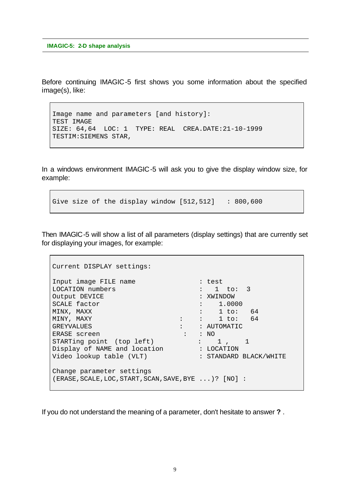Before continuing IMAGIC-5 first shows you some information about the specified image(s), like:

```
Image name and parameters [and history]:
TEST IMAGE
SIZE: 64,64 LOC: 1 TYPE: REAL CREA.DATE:21-10-1999
TESTIM:SIEMENS STAR,
```
In a windows environment IMAGIC-5 will ask you to give the display window size, for example:

Give size of the display window  $[512,512]$  : 800,600

Then IMAGIC-5 will show a list of all parameters (display settings) that are currently set for displaying your images, for example:

```
Current DISPLAY settings:
Input image FILE name : test
LOCATION numbers : 1 to: 3
Output DEVICE : XWINDOW
SCALE factor \qquad \qquad : \qquad 1.0000MINX, MAXX : 1 to: 64
MINY, MAXY : : 1 to: 64
GREYVALUES : : AUTOMATIC
ERASE screen : : NO
STARTing point (top left) : 1, 1
Display of NAME and location : LOCATION
Video lookup table (VLT) : STANDARD BLACK/WHITE
Change parameter settings
(ERASE,SCALE,LOC,START,SCAN,SAVE,BYE ...)? [NO] :
```
If you do not understand the meaning of a parameter, don't hesitate to answer **?** .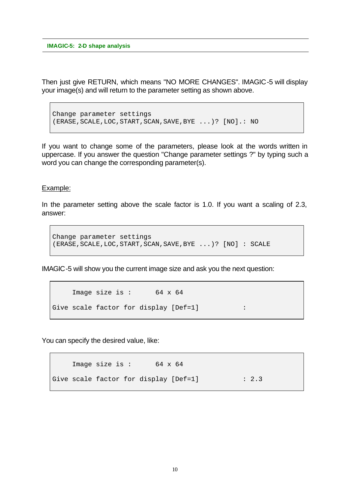Then just give RETURN, which means "NO MORE CHANGES". IMAGIC-5 will display your image(s) and will return to the parameter setting as shown above.

Change parameter settings (ERASE,SCALE,LOC,START,SCAN,SAVE,BYE ...)? [NO].: NO

If you want to change some of the parameters, please look at the words written in uppercase. If you answer the question "Change parameter settings ?" by typing such a word you can change the corresponding parameter(s).

#### Example:

In the parameter setting above the scale factor is 1.0. If you want a scaling of 2.3, answer:

```
Change parameter settings
(ERASE,SCALE,LOC,START,SCAN,SAVE,BYE ...)? [NO] : SCALE
```
IMAGIC-5 will show you the current image size and ask you the next question:

```
Image size is: 64 x 64
Give scale factor for display [Def=1] :
```
You can specify the desired value, like:

```
Image size is : 64 x 64
Give scale factor for display [Def=1] : 2.3
```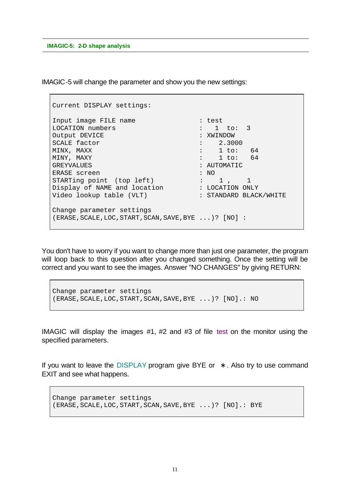IMAGIC-5 will change the parameter and show you the new settings:

```
Current DISPLAY settings:
Input image FILE name : test :
LOCATION numbers \qquad \qquad : \quad 1 \quad \text{to:} \quad 3Output DEVICE : XWINDOW
SCALE factor : 2.3000
MINX, MAXX : 1 to: 64
MINY, MAXY : 1 to: 64
GREYVALUES : AUTOMATIC
ERASE screen : NO
STARTing point (top left) : 1, 1
Display of NAME and location : LOCATION ONLY
Video lookup table (VLT) : STANDARD BLACK/WHITE
Change parameter settings
(ERASE,SCALE,LOC,START,SCAN,SAVE,BYE ...)? [NO] :
```
You don't have to worry if you want to change more than just one parameter, the program will loop back to this question after you changed something. Once the setting will be correct and you want to see the images. Answer "NO CHANGES" by giving RETURN:

```
Change parameter settings
(ERASE,SCALE,LOC,START,SCAN,SAVE,BYE ...)? [NO].: NO
```
IMAGIC will display the images #1, #2 and #3 of file test on the monitor using the specified parameters.

If you want to leave the DISPLAY program give BYE or **\*** . Also try to use command EXIT and see what happens.

```
Change parameter settings
(ERASE,SCALE,LOC,START,SCAN,SAVE,BYE ...)? [NO].: BYE
```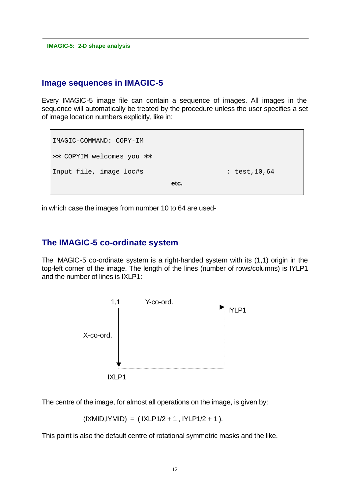### **Image sequences in IMAGIC-5**

Every IMAGIC-5 image file can contain a sequence of images. All images in the sequence will automatically be treated by the procedure unless the user specifies a set of image location numbers explicitly, like in:

```
IMAGIC-COMMAND: COPY-IM
∗∗ COPYIM welcomes you ∗∗
Input file, image loc#s : test,10,64
                         etc.
```
in which case the images from number 10 to 64 are used-

### **The IMAGIC-5 co-ordinate system**

The IMAGIC-5 co-ordinate system is a right-handed system with its (1,1) origin in the top-left corner of the image. The length of the lines (number of rows/columns) is IYLP1 and the number of lines is IXLP1:



The centre of the image, for almost all operations on the image, is given by:

```
(IXMID, IYMID) = (IXLP1/2 + 1, IYLP1/2 + 1).
```
This point is also the default centre of rotational symmetric masks and the like.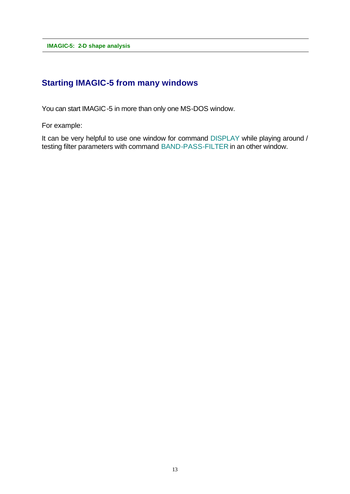# **Starting IMAGIC-5 from many windows**

You can start IMAGIC-5 in more than only one MS-DOS window.

For example:

It can be very helpful to use one window for command DISPLAY while playing around / testing filter parameters with command BAND-PASS-FILTER in an other window.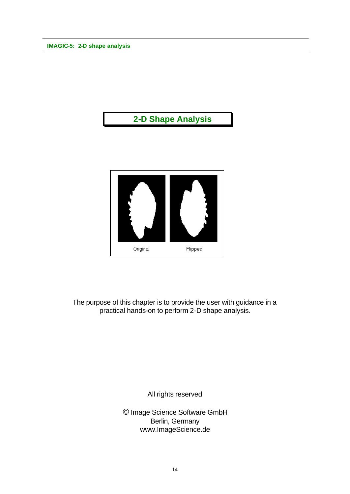# **2-D Shape Analysis**



The purpose of this chapter is to provide the user with guidance in a practical hands-on to perform 2-D shape analysis.

All rights reserved

© Image Science Software GmbH Berlin, Germany www.ImageScience.de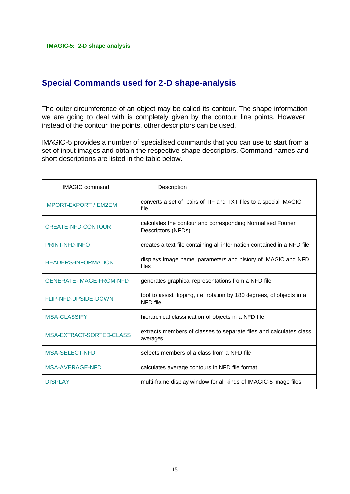### **Special Commands used for 2-D shape-analysis**

The outer circumference of an object may be called its contour. The shape information we are going to deal with is completely given by the contour line points. However, instead of the contour line points, other descriptors can be used.

IMAGIC-5 provides a number of specialised commands that you can use to start from a set of input images and obtain the respective shape descriptors. Command names and short descriptions are listed in the table below.

| <b>IMAGIC</b> command           | Description                                                                        |  |  |
|---------------------------------|------------------------------------------------------------------------------------|--|--|
| <b>IMPORT-EXPORT / EM2EM</b>    | converts a set of pairs of TIF and TXT files to a special IMAGIC<br>file           |  |  |
| <b>CREATE-NFD-CONTOUR</b>       | calculates the contour and corresponding Normalised Fourier<br>Descriptors (NFDs)  |  |  |
| <b>PRINT-NFD-INFO</b>           | creates a text file containing all information contained in a NFD file             |  |  |
| <b>HEADERS-INFORMATION</b>      | displays image name, parameters and history of IMAGIC and NFD<br>files             |  |  |
| <b>GENERATE-IMAGE-FROM-NFD</b>  | generates graphical representations from a NFD file                                |  |  |
| <b>FLIP-NFD-UPSIDE-DOWN</b>     | tool to assist flipping, i.e. rotation by 180 degrees, of objects in a<br>NFD file |  |  |
| <b>MSA-CLASSIFY</b>             | hierarchical classification of objects in a NFD file                               |  |  |
| <b>MSA-EXTRACT-SORTED-CLASS</b> | extracts members of classes to separate files and calculates class<br>averages     |  |  |
| <b>MSA-SELECT-NFD</b>           | selects members of a class from a NFD file                                         |  |  |
| MSA-AVERAGE-NFD                 | calculates average contours in NFD file format                                     |  |  |
| <b>DISPLAY</b>                  | multi-frame display window for all kinds of IMAGIC-5 image files                   |  |  |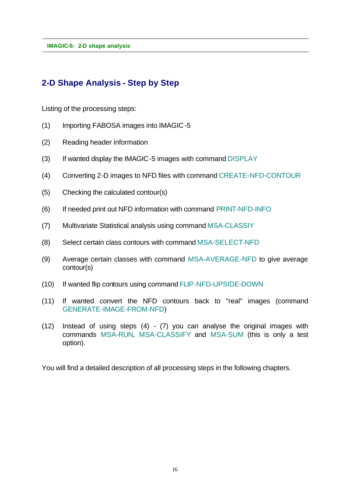# **2-D Shape Analysis - Step by Step**

Listing of the processing steps:

- (1) Importing FABOSA images into IMAGIC-5
- (2) Reading header information
- (3) If wanted display the IMAGIC-5 images with command DISPLAY
- (4) Converting 2-D images to NFD files with command CREATE-NFD-CONTOUR
- (5) Checking the calculated contour(s)
- (6) If needed print out NFD information with command PRINT-NFD-INFO
- (7) Multivariate Statistical analysis using command MSA-CLASSIY
- (8) Select certain class contours with command MSA-SELECT-NFD
- (9) Average certain classes with command MSA-AVERAGE-NFD to give average contour(s)
- (10) If wanted flip contours using command FLIP-NFD-UPSIDE-DOWN
- (11) If wanted convert the NFD contours back to "real" images (command GENERATE-IMAGE-FROM-NFD)
- (12) Instead of using steps (4) (7) you can analyse the original images with commands MSA-RUN, MSA-CLASSIFY and MSA-SUM (this is only a test option).

You will find a detailed description of all processing steps in the following chapters.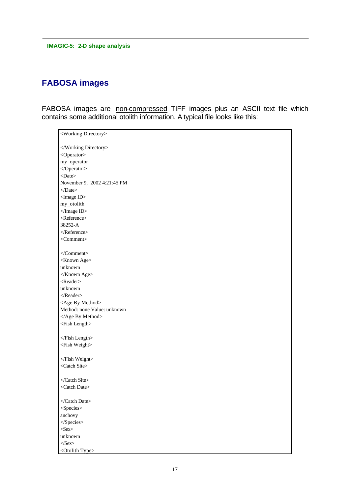# **FABOSA images**

FABOSA images are non-compressed TIFF images plus an ASCII text file which contains some additional otolith information. A typical file looks like this:

| <working directory=""></working> |
|----------------------------------|
|                                  |
| <operator></operator>            |
| my_operator                      |
|                                  |
| $<$ Date $>$                     |
| November 9, 2002 4:21:45 PM      |
| $<$ Date>                        |
| <image id=""/>                   |
| my_otolith                       |
| $\triangle$ Image ID>            |
| <reference></reference>          |
| 38252-A                          |
| $\triangleleft$ Reference>       |
| <comment></comment>              |
|                                  |
|                                  |
| <known age=""></known>           |
| unknown                          |
|                                  |
| <reader></reader>                |
| unknown                          |
| $<$ /Reader>                     |
| <age by="" method=""></age>      |
| Method: none Value: unknown      |
|                                  |
| <fish length=""></fish>          |
|                                  |
| $\langle$ Fish Length>           |
| <fish weight=""></fish>          |
|                                  |
|                                  |
| <catch site=""></catch>          |
|                                  |
| <catch date=""></catch>          |
|                                  |
|                                  |
| <species></species>              |
| anchovy                          |
| $<$ Species>                     |
| $\langle$ Sex>                   |
| unknown                          |
| $\langle$ Sex>                   |
| <otolith type=""></otolith>      |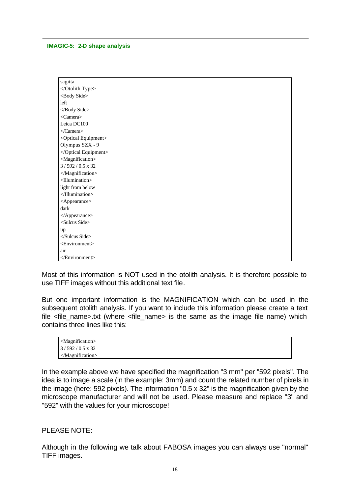| sagitta                          |
|----------------------------------|
|                                  |
| <body side=""></body>            |
| left                             |
|                                  |
| <camera></camera>                |
| Leica DC100                      |
|                                  |
| <optical equipment=""></optical> |
| Olympus SZX - 9                  |
|                                  |
| <magnification></magnification>  |
| $3/592/0.5 \times 32$            |
|                                  |
| <illumination></illumination>    |
| light from below                 |
| $\triangleleft$ Illumination>    |
| <appearance></appearance>        |
| dark                             |
|                                  |
| <sulcus side=""></sulcus>        |
| up                               |
| $<$ Sulcus Side>                 |
| <environment></environment>      |
| air                              |
|                                  |

Most of this information is NOT used in the otolith analysis. It is therefore possible to use TIFF images without this additional text file.

But one important information is the MAGNIFICATION which can be used in the subsequent otolith analysis. If you want to include this information please create a text file <file\_name>.txt (where <file\_name> is the same as the image file name) which contains three lines like this:

| $\sim$ Magnification $>$  |  |
|---------------------------|--|
| $3/592/0.5 \times 32$     |  |
| $\triangle$ Magnification |  |

In the example above we have specified the magnification "3 mm" per "592 pixels". The idea is to image a scale (in the example: 3mm) and count the related number of pixels in the image (here: 592 pixels). The information "0.5 x 32" is the magnification given by the microscope manufacturer and will not be used. Please measure and replace "3" and "592" with the values for your microscope!

#### PI FASE NOTE:

Although in the following we talk about FABOSA images you can always use "normal" TIFF images.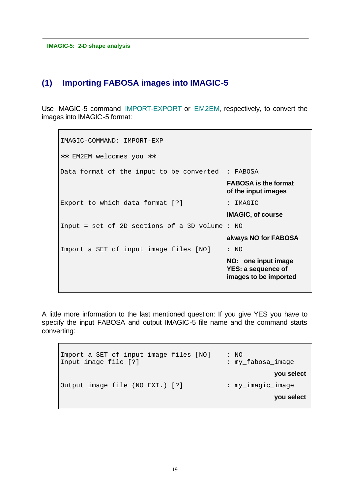### **(1) Importing FABOSA images into IMAGIC-5**

Use IMAGIC-5 command IMPORT-EXPORT or EM2EM, respectively, to convert the images into IMAGIC-5 format:

IMAGIC-COMMAND: IMPORT-EXP ∗∗ EM2EM welcomes you ∗∗ Data format of the input to be converted : FABOSA **FABOSA is the format of the input images** Export to which data format [?] : IMAGIC **IMAGIC, of course** Input = set of 2D sections of a 3D volume : NO **always NO for FABOSA** Import a SET of input image files [NO] : NO **NO: one input image YES: a sequence of images to be imported**

A little more information to the last mentioned question: If you give YES you have to specify the input FABOSA and output IMAGIC-5 file name and the command starts converting:

```
Import a SET of input image files [NO] : NO
Input image file [?] \qquad \qquad : my\_fabosa\_image you select
Output image file (NO EXT.) [?] : my_imagic_image
                                                   you select
```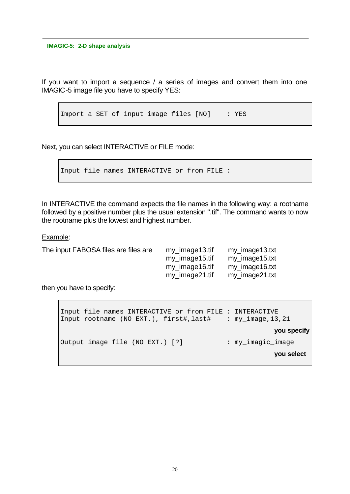If you want to import a sequence / a series of images and convert them into one IMAGIC-5 image file you have to specify YES:

Import a SET of input image files [NO] : YES

Next, you can select INTERACTIVE or FILE mode:

```
Input file names INTERACTIVE or from FILE :
```
In INTERACTIVE the command expects the file names in the following way: a rootname followed by a positive number plus the usual extension ".tif". The command wants to now the rootname plus the lowest and highest number.

Example:

| The input FABOSA files are files are | my_image13.tif | my_image13.txt |
|--------------------------------------|----------------|----------------|
|                                      | my_image15.tif | my_image15.txt |
|                                      | my image16.tif | my image16.txt |
|                                      | my_image21.tif | my_image21.txt |
|                                      |                |                |

then you have to specify:

```
Input file names INTERACTIVE or from FILE : INTERACTIVE
Input rootname (NO EXT.), first#,last# : my_image,13,21
                                                     you specify
Output image file (NO EXT.) [?] : my_imagic_image
                                                     you select
```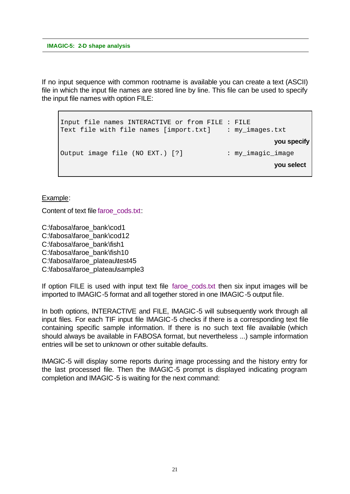If no input sequence with common rootname is available you can create a text (ASCII) file in which the input file names are stored line by line. This file can be used to specify the input file names with option FILE:

```
Input file names INTERACTIVE or from FILE : FILE
Text file with file names [import.txt] : my_images.txt
                                                     you specify
Output image file (NO EXT.) [?] : my_imagic_image
                                                     you select
```
Example:

Content of text file faroe\_cods.txt:

C:\fabosa\faroe\_bank\cod1 C:\fabosa\faroe\_bank\cod12 C:\fabosa\faroe\_bank\fish1 C:\fabosa\faroe\_bank\fish10 C:\fabosa\faroe\_plateau\test45 C:\fabosa\faroe\_plateau\sample3

If option FILE is used with input text file faroe cods.txt then six input images will be imported to IMAGIC-5 format and all together stored in one IMAGIC-5 output file.

In both options, INTERACTIVE and FILE, IMAGIC-5 will subsequently work through all input files. For each TIF input file IMAGIC-5 checks if there is a corresponding text file containing specific sample information. If there is no such text file available (which should always be available in FABOSA format, but nevertheless ...) sample information entries will be set to unknown or other suitable defaults.

IMAGIC-5 will display some reports during image processing and the history entry for the last processed file. Then the IMAGIC-5 prompt is displayed indicating program completion and IMAGIC-5 is waiting for the next command: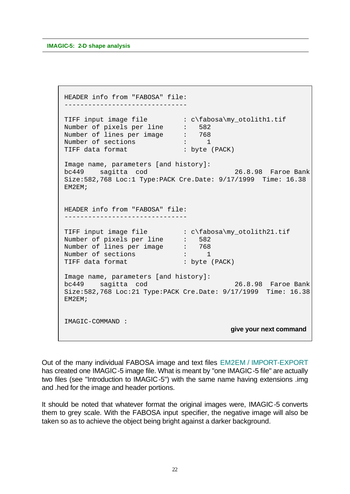```
 HEADER info from "FABOSA" file:
 -------------------------------
TIFF input image file \cdot : c\fabosa\my_otolith1.tif
Number of pixels per line : 582
Number of lines per image : 768
Number of sections : 1<br>Number of sections : 1
 TIFF data format : byte (PACK)
 Image name, parameters [and history]:
 bc449 sagitta cod 26.8.98 Faroe Bank
 Size:582,768 Loc:1 Type:PACK Cre.Date: 9/17/1999 Time: 16.38
 EM2EM;
 HEADER info from "FABOSA" file:
-------------------------------
TIFF input image file \cdot : c\cdot\lambda\wedge\omega_0tolith21.tif
Number of pixels per line : 582
Number of lines per image : 768
Number of sections : 1
TIFF data format : byte (PACK)
 Image name, parameters [and history]:
 bc449 sagitta cod 26.8.98 Faroe Bank
 Size:582,768 Loc:21 Type:PACK Cre.Date: 9/17/1999 Time: 16.38
 EM2EM;
 IMAGIC-COMMAND : 
                                        give your next command
```
Out of the many individual FABOSA image and text files EM2EM / IMPORT-EXPORT has created one IMAGIC-5 image file. What is meant by "one IMAGIC-5 file" are actually two files (see "Introduction to IMAGIC-5") with the same name having extensions .img and .hed for the image and header portions.

It should be noted that whatever format the original images were, IMAGIC-5 converts them to grey scale. With the FABOSA input specifier, the negative image will also be taken so as to achieve the object being bright against a darker background.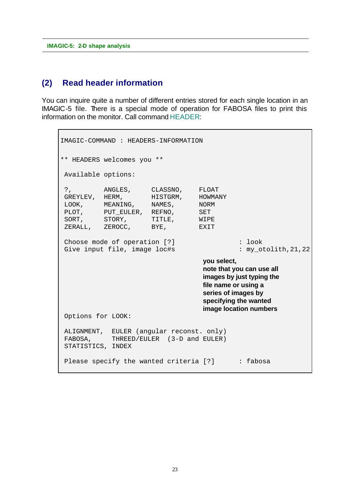### **(2) Read header information**

You can inquire quite a number of different entries stored for each single location in an IMAGIC-5 file. There is a special mode of operation for FABOSA files to print this information on the monitor. Call command HEADER:

```
IMAGIC-COMMAND : HEADERS-INFORMATION
** HEADERS welcomes you **
 Available options:
 ?, ANGLES, CLASSNO, FLOAT
GREYLEV, HERM, HISTGRM, HOWMANY
LOOK, MEANING, NAMES, NORM
PLOT, PUT_EULER, REFNO, SET
SORT, STORY, TITLE, WIPE
ZERALL, ZEROCC, BYE, EXIT
Choose mode of operation [?] \qquad \qquad : \text{ look}Give input file, image loc#s : my_otolith, 21, 22
                                   you select,
                                   note that you can use all
                                   images by just typing the
                                   file name or using a 
                                   series of images by
                                   specifying the wanted
                                   image location numbers
 Options for LOOK:
 ALIGNMENT, EULER (angular reconst. only)
FABOSA, THREED/EULER (3-D and EULER)
 STATISTICS, INDEX
Please specify the wanted criteria [?] : fabosa
```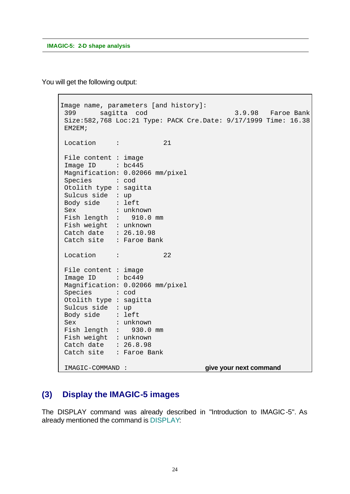You will get the following output:

```
Image name, parameters [and history]:
 399 sagitta cod 3.9.98 Faroe Bank
 Size:582,768 Loc:21 Type: PACK Cre.Date: 9/17/1999 Time: 16.38
 EM2EM;
Location : 21
 File content : image
Image ID : bc445
 Magnification: 0.02066 mm/pixel
 Species : cod
 Otolith type : sagitta
 Sulcus side : up
 Body side : left
 Sex : unknown
 Fish length : 910.0 mm
 Fish weight : unknown
 Catch date : 26.10.98
 Catch site : Faroe Bank
Location : 22
 File content : image
Image ID : bc449
 Magnification: 0.02066 mm/pixel
 Species : cod
 Otolith type : sagitta
 Sulcus side : up
 Body side : left
 Sex : unknown
 Fish length : 930.0 mm
 Fish weight : unknown
 Catch date : 26.8.98
 Catch site : Faroe Bank
 IMAGIC-COMMAND : give your next command
```
# **(3) Display the IMAGIC-5 images**

The DISPLAY command was already described in "Introduction to IMAGIC-5". As already mentioned the command is DISPLAY: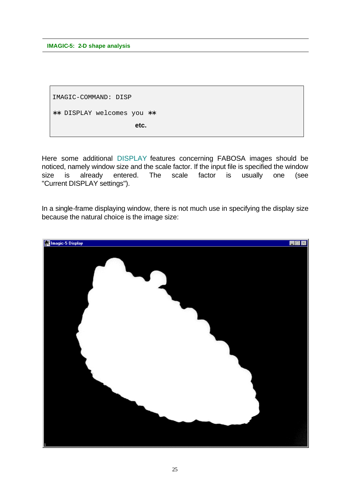IMAGIC-COMMAND: DISP ∗∗ DISPLAY welcomes you ∗∗ **etc.**

Here some additional DISPLAY features concerning FABOSA images should be noticed, namely window size and the scale factor. If the input file is specified the window size is already entered. The scale factor is usually one (see "Current DISPLAY settings").

In a single-frame displaying window, there is not much use in specifying the display size because the natural choice is the image size:

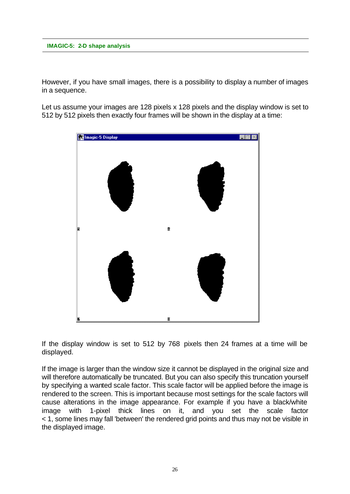However, if you have small images, there is a possibility to display a number of images in a sequence.

Let us assume your images are 128 pixels x 128 pixels and the display window is set to 512 by 512 pixels then exactly four frames will be shown in the display at a time:



If the display window is set to 512 by 768 pixels then 24 frames at a time will be displayed.

If the image is larger than the window size it cannot be displayed in the original size and will therefore automatically be truncated. But you can also specify this truncation yourself by specifying a wanted scale factor. This scale factor will be applied before the image is rendered to the screen. This is important because most settings for the scale factors will cause alterations in the image appearance. For example if you have a black/white image with 1-pixel thick lines on it, and you set the scale factor < 1, some lines may fall 'between' the rendered grid points and thus may not be visible in the displayed image.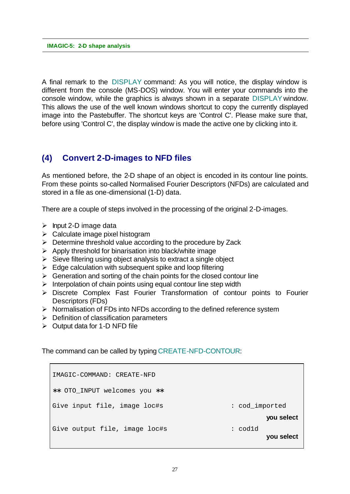A final remark to the DISPLAY command: As you will notice, the display window is different from the console (MS-DOS) window. You will enter your commands into the console window, while the graphics is always shown in a separate DISPLAY window. This allows the use of the well known windows shortcut to copy the currently displayed image into the Pastebuffer. The shortcut keys are 'Control C'. Please make sure that, before using 'Control C', the display window is made the active one by clicking into it.

### **(4) Convert 2-D-images to NFD files**

As mentioned before, the 2-D shape of an object is encoded in its contour line points. From these points so-called Normalised Fourier Descriptors (NFDs) are calculated and stored in a file as one-dimensional (1-D) data.

There are a couple of steps involved in the processing of the original 2-D-images.

- $\triangleright$  Input 2-D image data
- $\triangleright$  Calculate image pixel histogram
- $\triangleright$  Determine threshold value according to the procedure by Zack
- $\triangleright$  Apply threshold for binarisation into black/white image
- $\triangleright$  Sieve filtering using object analysis to extract a single object
- $\triangleright$  Edge calculation with subsequent spike and loop filtering
- $\triangleright$  Generation and sorting of the chain points for the closed contour line
- $\triangleright$  Interpolation of chain points using equal contour line step width
- ▶ Discrete Complex Fast Fourier Transformation of contour points to Fourier Descriptors (FDs)
- $\triangleright$  Normalisation of FDs into NFDs according to the defined reference system
- $\triangleright$  Definition of classification parameters
- $\triangleright$  Output data for 1-D NFD file

The command can be called by typing CREATE-NFD-CONTOUR:

IMAGIC-COMMAND: CREATE-NFD ∗∗ OTO\_INPUT welcomes you ∗∗ Give input file, image loc#s : cod\_imported **you select** Give output file, image loc#s : cod1d **you select**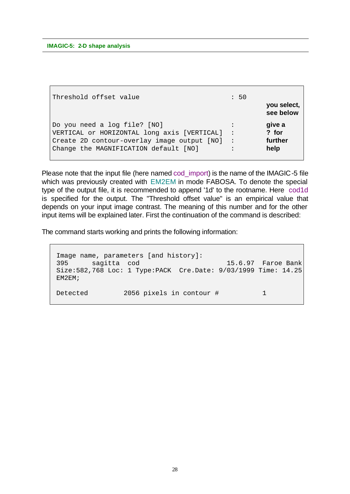| Threshold offset value                                                                     | : 50                 | you select,     |
|--------------------------------------------------------------------------------------------|----------------------|-----------------|
|                                                                                            |                      | see below       |
| Do you need a log file? [NO]                                                               |                      | give a<br>? for |
| VERTICAL or HORIZONTAL long axis [VERTICAL]<br>Create 2D contour-overlay image output [NO] | $\ddot{\phantom{1}}$ | further         |
| Change the MAGNIFICATION default [NO]                                                      |                      | help            |

Please note that the input file (here named cod\_import) is the name of the IMAGIC-5 file which was previously created with EM2EM in mode FABOSA. To denote the special type of the output file, it is recommended to append '1d' to the rootname. Here cod1d is specified for the output. The "Threshold offset value" is an empirical value that depends on your input image contrast. The meaning of this number and for the other input items will be explained later. First the continuation of the command is described:

The command starts working and prints the following information:

```
 Image name, parameters [and history]:
 395 sagitta cod 15.6.97 Faroe Bank
 Size:582,768 Loc: 1 Type:PACK Cre.Date: 9/03/1999 Time: 14.25
 EM2EM;
Detected 2056 pixels in contour # 1
```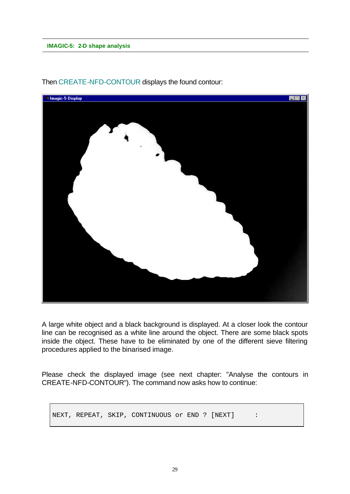

Then CREATE-NFD-CONTOUR displays the found contour:

A large white object and a black background is displayed. At a closer look the contour line can be recognised as a white line around the object. There are some black spots inside the object. These have to be eliminated by one of the different sieve filtering procedures applied to the binarised image.

Please check the displayed image (see next chapter: "Analyse the contours in CREATE-NFD-CONTOUR"). The command now asks how to continue:

NEXT, REPEAT, SKIP, CONTINUOUS Or END ? [NEXT] :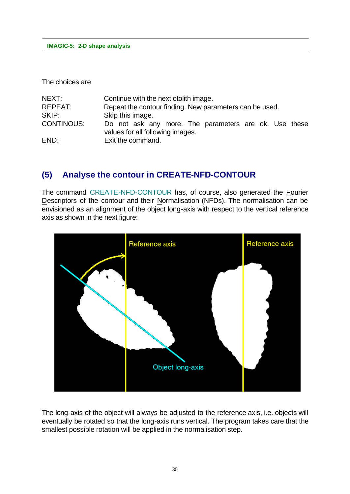The choices are:

| NEXT:             | Continue with the next otolith image.                                                     |
|-------------------|-------------------------------------------------------------------------------------------|
| REPEAT:           | Repeat the contour finding. New parameters can be used.                                   |
| SKIP:             | Skip this image.                                                                          |
| <b>CONTINOUS:</b> | Do not ask any more. The parameters are ok. Use these<br>values for all following images. |
| END:              | Exit the command.                                                                         |

### **(5) Analyse the contour in CREATE-NFD-CONTOUR**

The command CREATE-NFD-CONTOUR has, of course, also generated the Fourier Descriptors of the contour and their Normalisation (NFDs). The normalisation can be envisioned as an alignment of the object long-axis with respect to the vertical reference axis as shown in the next figure:



The long-axis of the object will always be adjusted to the reference axis, i.e. objects will eventually be rotated so that the long-axis runs vertical. The program takes care that the smallest possible rotation will be applied in the normalisation step.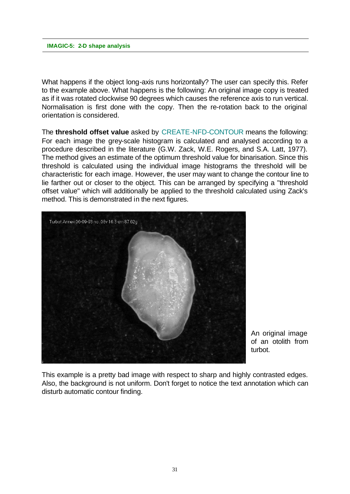What happens if the object long-axis runs horizontally? The user can specify this. Refer to the example above. What happens is the following: An original image copy is treated as if it was rotated clockwise 90 degrees which causes the reference axis to run vertical. Normalisation is first done with the copy. Then the re-rotation back to the original orientation is considered.

The **threshold offset value** asked by CREATE-NFD-CONTOUR means the following: For each image the grey-scale histogram is calculated and analysed according to a procedure described in the literature (G.W. Zack, W.E. Rogers, and S.A. Latt, 1977). The method gives an estimate of the optimum threshold value for binarisation. Since this threshold is calculated using the individual image histograms the threshold will be characteristic for each image. However, the user may want to change the contour line to lie farther out or closer to the object. This can be arranged by specifying a "threshold offset value" which will additionally be applied to the threshold calculated using Zack's method. This is demonstrated in the next figures.



An original image of an otolith from turbot.

This example is a pretty bad image with respect to sharp and highly contrasted edges. Also, the background is not uniform. Don't forget to notice the text annotation which can disturb automatic contour finding.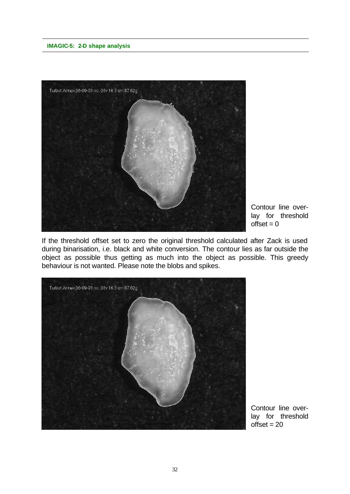

Contour line overlay for threshold  $offset = 0$ 

If the threshold offset set to zero the original threshold calculated after Zack is used during binarisation, i.e. black and white conversion. The contour lies as far outside the object as possible thus getting as much into the object as possible. This greedy behaviour is not wanted. Please note the blobs and spikes.



Contour line overlay for threshold  $offset = 20$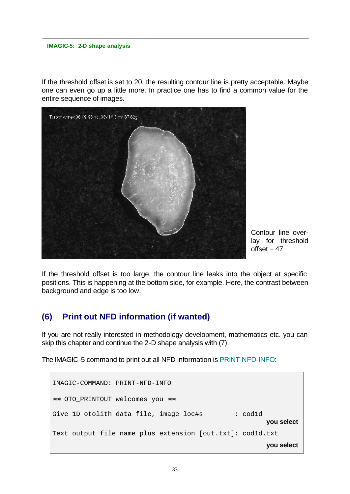If the threshold offset is set to 20, the resulting contour line is pretty acceptable. Maybe one can even go up a little more. In practice one has to find a common value for the entire sequence of images.



Contour line overlay for threshold  $offset = 47$ 

If the threshold offset is too large, the contour line leaks into the object at specific positions. This is happening at the bottom side, for example. Here, the contrast between background and edge is too low.

### **(6) Print out NFD information (if wanted)**

If you are not really interested in methodology development, mathematics etc. you can skip this chapter and continue the 2-D shape analysis with (7).

The IMAGIC-5 command to print out all NFD information is PRINT-NFD-INFO:

```
IMAGIC-COMMAND: PRINT-NFD-INFO
∗∗ OTO_PRINTOUT welcomes you ∗∗
Give 1D otolith data file, image loc#s : cod1d
                                                       you select
Text output file name plus extension [out.txt]: cod1d.txt
                                                       you select
```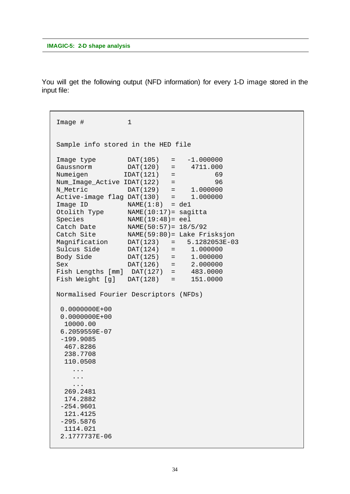You will get the following output (NFD information) for every 1-D image stored in the input file:

```
Image # 1
 Sample info stored in the HED file
 Image type DAT(105) = -1.000000
 Gaussnorm DAT(120) = 4711.000
Gaussnorm DAT(120) = 4711.000<br>Numeigen IDAT(121) = 69
Num_Image_Active IDAT(122) = 96
 N_Metric DAT(129) = 1.000000
 Active-image flag DAT(130) = 1.000000
Image ID NAME(1:8) = del Otolith Type NAME(10:17)= sagitta
Species NAME(19:48)= eel
 Catch Date NAME(50:57)= 18/5/92
 Catch Site NAME(59:80)= Lake Frisksjon
 Magnification DAT(123) = 5.1282053E-03
 Sulcus Side DAT(124) = 1.000000 
 Body Side DAT(125) = 1.000000 
 Sex DAT(126) = 2.000000 
 Fish Lengths [mm] DAT(127) = 483.0000 
 Fish Weight [g] DAT(128) = 151.0000 
 Normalised Fourier Descriptors (NFDs)
  0.0000000E+00
  0.0000000E+00
  10000.00 
  6.2059559E-07
  -199.9085 
   467.8286 
   238.7708 
   110.0508 
     ...
     ...
     ...
   269.2481 
   174.2882 
  -254.9601 
   121.4125 
  -295.5876 
  1114.021 
  2.1777737E-06
```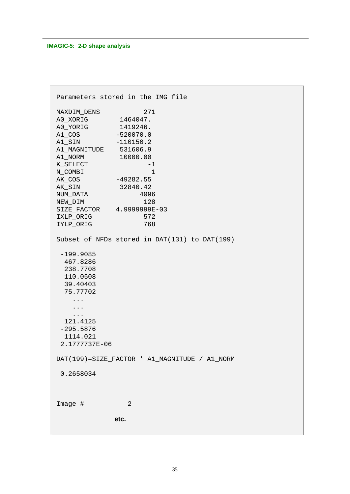```
 Parameters stored in the IMG file
MAXDIM_DENS 271
 A0_XORIG 1464047. 
 A0_YORIG 1419246. 
 A1_COS -520070.0 
A1_SIN -110150.2
 A1_MAGNITUDE 531606.9 
 A1_NORM 10000.00 
KSELECT -1N_COMBI 1
 AK_COS -49282.55 
 AK_SIN 32840.42 
 NUM_DATA 4096
 NEW_DIM 128
 SIZE_FACTOR 4.9999999E-03
 IXLP_ORIG 572
 IYLP_ORIG 768
 Subset of NFDs stored in DAT(131) to DAT(199)
  -199.9085 
   467.8286 
   238.7708 
   110.0508 
   39.40403 
   75.77702 
    ...
    ...
    ...
  121.4125 
  -295.5876 
  1114.021 
  2.1777737E-06
 DAT(199)=SIZE_FACTOR * A1_MAGNITUDE / A1_NORM
  0.2658034
Image # 2
            etc.
```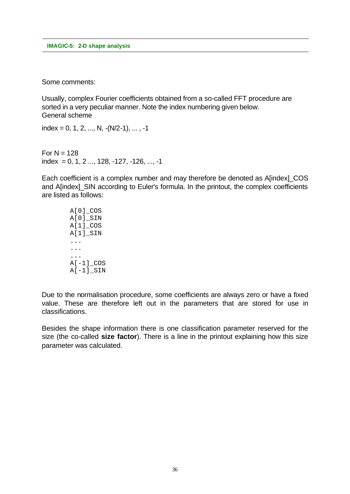Some comments:

Usually, complex Fourier coefficients obtained from a so-called FFT procedure are sorted in a very peculiar manner. Note the index numbering given below. General scheme

index = 0, 1, 2, ..., N,  $-(N/2-1)$ , ..., -1

For  $N = 128$ index = 0, 1, 2 ..., 128,  $-127$ ,  $-126$ , ...,  $-1$ 

Each coefficient is a complex number and may therefore be denoted as A[index]\_COS and A[index]\_SIN according to Euler's formula. In the printout, the complex coefficients are listed as follows:

> A[0]\_COS A[0]\_SIN A[1]\_COS A[1]\_SIN ... ... ...  $A[-1]$   $COS$  $A[-1]$  $SIN$

Due to the normalisation procedure, some coefficients are always zero or have a fixed value. These are therefore left out in the parameters that are stored for use in classifications.

Besides the shape information there is one classification parameter reserved for the size (the co-called **size factor**). There is a line in the printout explaining how this size parameter was calculated.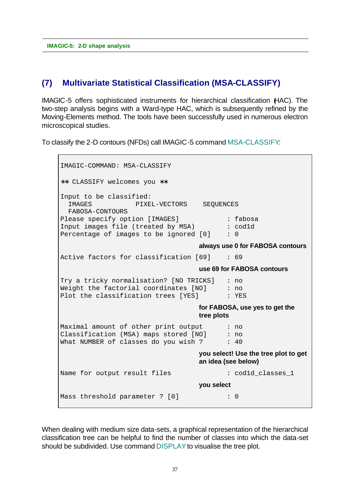### **(7) Multivariate Statistical Classification (MSA-CLASSIFY)**

IMAGIC-5 offers sophisticated instruments for hierarchical classification (HAC). The two-step analysis begins with a Ward-type HAC, which is subsequently refined by the Moving-Elements method. The tools have been successfully used in numerous electron microscopical studies.

To classify the 2-D contours (NFDs) call IMAGIC-5 command MSA-CLASSIFY:

IMAGIC-COMMAND: MSA-CLASSIFY ∗∗ CLASSIFY welcomes you ∗∗ Input to be classified: IMAGES PIXEL-VECTORS SEQUENCES FABOSA-CONTOURS Please specify option [IMAGES] : fabosa Input images file (treated by MSA) : cod1d Percentage of images to be ignored  $[0]$  : 0 **always use 0 for FABOSA contours** Active factors for classification [69] : 69 **use 69 for FABOSA contours** Try a tricky normalisation? [NO TRICKS] : no Weight the factorial coordinates  $[NO]$  : no Plot the classification trees [YES] : YES **for FABOSA, use yes to get the tree plots** Maximal amount of other print output : no Classification (MSA) maps stored [NO] : no What NUMBER of classes do you wish ?  $\cdot$  : 40 **you select! Use the tree plot to get an idea (see below)** Name for output result files : cod1d\_classes\_1 **you select** Mass threshold parameter ? [0] : 0

When dealing with medium size data-sets, a graphical representation of the hierarchical classification tree can be helpful to find the number of classes into which the data-set should be subdivided. Use command DISPLAY to visualise the tree plot.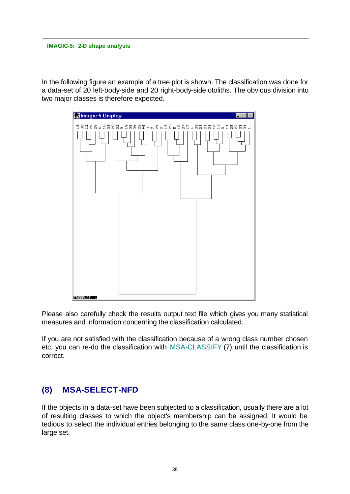In the following figure an example of a tree plot is shown. The classification was done for a data-set of 20 left-body-side and 20 right-body-side otoliths. The obvious division into two major classes is therefore expected.



Please also carefully check the results output text file which gives you many statistical measures and information concerning the classification calculated.

If you are not satisfied with the classification because of a wrong class number chosen etc. you can re-do the classification with MSA-CLASSIFY (7) until the classification is correct.

# **(8) MSA-SELECT-NFD**

If the objects in a data-set have been subjected to a classification, usually there are a lot of resulting classes to which the object's membership can be assigned. It would be tedious to select the individual entries belonging to the same class one-by-one from the large set.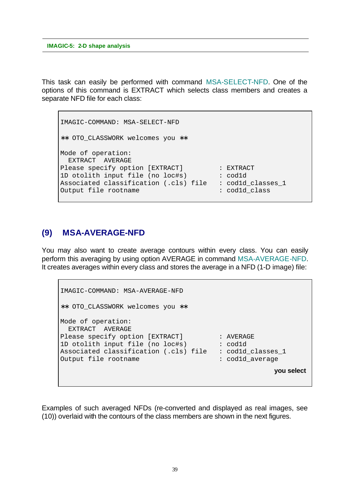This task can easily be performed with command MSA-SELECT-NFD. One of the options of this command is EXTRACT which selects class members and creates a separate NFD file for each class:

```
IMAGIC-COMMAND: MSA-SELECT-NFD
∗∗ OTO_CLASSWORK welcomes you ∗∗
Mode of operation:
   EXTRACT AVERAGE
Please specify option [EXTRACT] : EXTRACT
1D otolith input file (no loc#s) : cod1d
Associated classification (.cls) file : cod1d_classes_1<br>Output file rootname : cod1d_class
Output file rootname
```
# **(9) MSA-AVERAGE-NFD**

You may also want to create average contours within every class. You can easily perform this averaging by using option AVERAGE in command MSA-AVERAGE-NFD. It creates averages within every class and stores the average in a NFD (1-D image) file:

```
IMAGIC-COMMAND: MSA-AVERAGE-NFD
∗∗ OTO_CLASSWORK welcomes you ∗∗
Mode of operation:
  EXTRACT AVERAGE
Please specify option [EXTRACT] : AVERAGE
1D otolith input file (no loc#s) : cod1d
Associated classification (.cls) file : cod1d_classes_1
Output file rootname : cod1d average
                                                  you select
```
Examples of such averaged NFDs (re-converted and displayed as real images, see (10)) overlaid with the contours of the class members are shown in the next figures.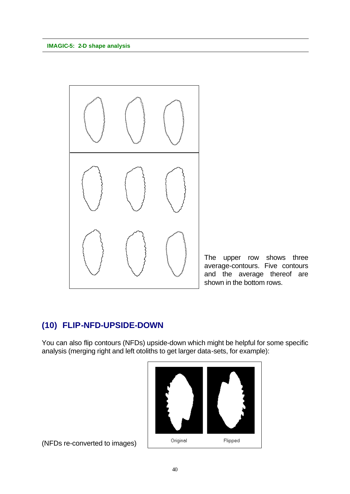

The upper row shows three average-contours. Five contours and the average thereof are shown in the bottom rows.

### **(10) FLIP-NFD-UPSIDE-DOWN**

You can also flip contours (NFDs) upside-down which might be helpful for some specific analysis (merging right and left otoliths to get larger data-sets, for example):



(NFDs re-converted to images)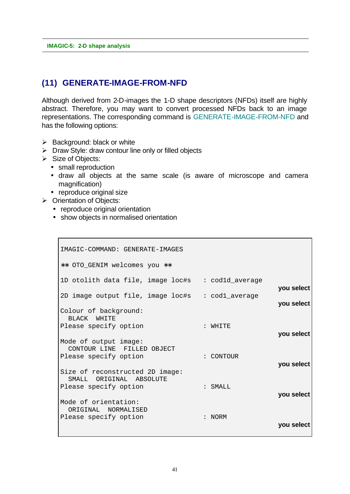### **(11) GENERATE-IMAGE-FROM-NFD**

Although derived from 2-D-images the 1-D shape descriptors (NFDs) itself are highly abstract. Therefore, you may want to convert processed NFDs back to an image representations. The corresponding command is GENERATE-IMAGE-FROM-NFD and has the following options:

- $\triangleright$  Background: black or white
- $\triangleright$  Draw Style: draw contour line only or filled objects
- $\triangleright$  Size of Objects:
	- small reproduction
	- draw all objects at the same scale (is aware of microscope and camera magnification)
	- reproduce original size
- $\triangleright$  Orientation of Objects:
	- reproduce original orientation
	- show objects in normalised orientation

```
IMAGIC-COMMAND: GENERATE-IMAGES
∗∗ OTO_GENIM welcomes you ∗∗
1D otolith data file, image loc#s : cod1d_average
                                                    you select
2D image output file, image loc#s : cod1_average
                                                    you select
Colour of background:
  BLACK WHITE
Please specify option : WHITE
                                                    you select
Mode of output image:
  CONTOUR LINE FILLED OBJECT
Please specify option : CONTOUR
                                                    you select
Size of reconstructed 2D image:
  SMALL ORIGINAL ABSOLUTE
Please specify option : SMALL
                                                    you select
Mode of orientation:
  ORIGINAL NORMALISED
Please specify option : NORM
                                                    you select
```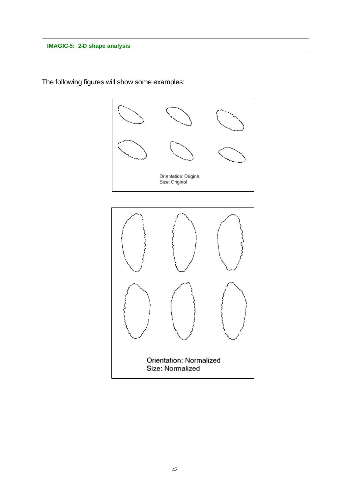

The following figures will show some examples:

Orientation: Normalized Size: Normalized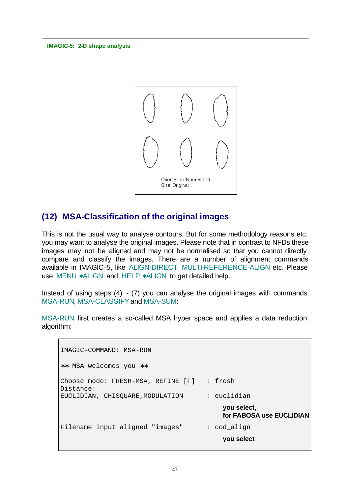

### **(12) MSA-Classification of the original images**

This is not the usual way to analyse contours. But for some methodology reasons etc. you may want to analyse the original images. Please note that in contrast to NFDs these images may not be aligned and may not be normalised so that you cannot directly compare and classify the images. There are a number of alignment commands available in IMAGIC-5, like ALIGN-DIRECT, MULTI-REFERENCE-ALIGN etc. Please use MENU **\***ALIGN and HELP **\***ALIGN to get detailed help.

Instead of using steps (4) - (7) you can analyse the original images with commands MSA-RUN, MSA-CLASSIFY and MSA-SUM:

MSA-RUN first creates a so-called MSA hyper space and applies a data reduction algorithm:

```
IMAGIC-COMMAND: MSA-RUN
∗∗ MSA welcomes you ∗∗
Choose mode: FRESH-MSA, REFINE [F] : fresh
Distance:
EUCLIDIAN, CHISQUARE,MODULATION : euclidian
                                          you select,
                                          for FABOSA use EUCLIDIAN
Filename input aligned "images" : cod align
                                          you select
```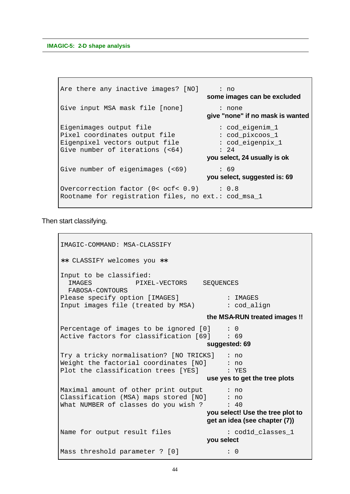```
Are there any inactive images? [NO] : no
                                      some images can be excluded
Give input MSA mask file [none] : none
                                      give "none" if no mask is wanted
Eigenimages output file : cod_eigenim_1
Pixel coordinates output file : cod_pixcoos_1
Eigenpixel vectors output file : cod_eigenpix_1<br>Give number of iterations (<64) : 24
Give number of iterations (<64)
                                      you select, 24 usually is ok
Give number of eigenimages (<69) : 69
                                      you select, suggested is: 69
Overcorrection factor (0< ocf< 0.9) : 0.8
Rootname for registration files, no ext.: cod_msa_1
```
Then start classifying.

```
IMAGIC-COMMAND: MSA-CLASSIFY
∗∗ CLASSIFY welcomes you ∗∗
Input to be classified:
  IMAGES PIXEL-VECTORS SEQUENCES
   FABOSA-CONTOURS
Please specify option [IMAGES] : IMAGES
Input images file (treated by MSA) : cod_align
                                       the MSA-RUN treated images !!
Percentage of images to be ignored [0] : 0<br>Active factors for classification [69] : 69
Active factors for classification [69]
                                       suggested: 69
Try a tricky normalisation? [NO TRICKS] : no
Weight the factorial coordinates [NO] \qquad\; : no
Plot the classification trees [YES] \; : YES
                                       use yes to get the tree plots
Maximal amount of other print output : no
Classification (MSA) maps stored [NO] : no
What NUMBER of classes do you wish ? \cdot : 40
                                      you select! Use the tree plot to 
                                       get an idea (see chapter (7))
Name for output result files : cod1d_classes_1
                                      you select
Mass threshold parameter ? [0] : 0
```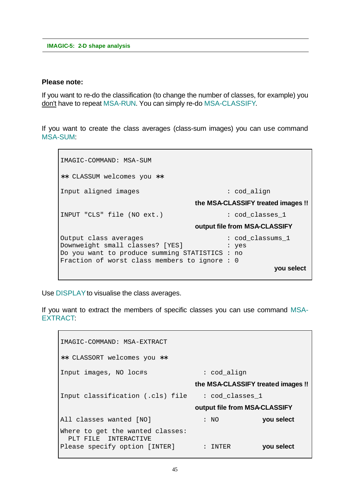#### **Please note:**

If you want to re-do the classification (to change the number of classes, for example) you don't have to repeat MSA-RUN. You can simply re-do MSA-CLASSIFY.

If you want to create the class averages (class-sum images) you can use command MSA-SUM:

IMAGIC-COMMAND: MSA-SUM ∗∗ CLASSUM welcomes you ∗∗ Input aligned images : cod\_align **the MSA-CLASSIFY treated images !!** INPUT "CLS" file (NO ext.) : cod\_classes\_1 **output file from MSA-CLASSIFY** Output class averages : cod\_classums\_1 Downweight small classes? [YES] : yes Do you want to produce summing STATISTICS : no Fraction of worst class members to ignore : 0 **you select**

Use DISPLAY to visualise the class averages.

If you want to extract the members of specific classes you can use command MSA-EXTRACT:

IMAGIC-COMMAND: MSA-EXTRACT ∗∗ CLASSORT welcomes you ∗∗ Input images, NO loc#s : cod\_align **the MSA-CLASSIFY treated images !!** Input classification (.cls) file : cod\_classes\_1 **output file from MSA-CLASSIFY** All classes wanted [NO] : NO **you select** Where to get the wanted classes: PLT FILE INTERACTIVE Please specify option [INTER] : INTER **you select**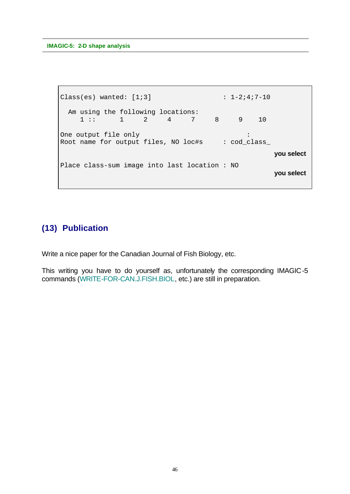```
Class(es) wanted: [1;3] : 1-2;4;7-10 Am using the following locations:
        1 :: 1 2 4 7 8 9 10
One output file only in the control of the control of the control of the control of the control of the control of the control of the control of the control of the control of the control of the control of the control of the
Root name for output files, NO loc#s : cod_class_
                                                                               you select
Place class-sum image into last location : NO
                                                                               you select
```
# **(13) Publication**

Write a nice paper for the Canadian Journal of Fish Biology, etc.

This writing you have to do yourself as, unfortunately the corresponding IMAGIC-5 commands (WRITE-FOR-CAN.J.FISH.BIOL, etc.) are still in preparation.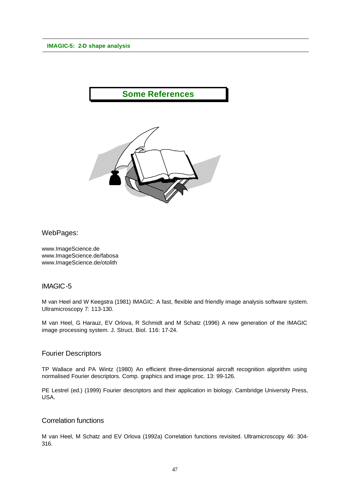# **Some References**



WebPages:

www.ImageScience.de www.ImageScience.de/fabosa www.ImageScience.de/otolith

#### IMAGIC-5

M van Heel and W Keegstra (1981) IMAGIC: A fast, flexible and friendly image analysis software system. Ultramicroscopy 7: 113-130.

M van Heel, G Harauz, EV Orlova, R Schmidt and M Schatz (1996) A new generation of the IMAGIC image processing system. J. Struct. Biol. 116: 17-24.

#### Fourier Descriptors

TP Wallace and PA Wintz (1980) An efficient three-dimensional aircraft recognition algorithm using normalised Fourier descriptors. Comp. graphics and image proc. 13: 99-126.

PE Lestrel (ed.) (1999) Fourier descriptors and their application in biology. Cambridge University Press, USA.

#### Correlation functions

M van Heel, M Schatz and EV Orlova (1992a) Correlation functions revisited. Ultramicroscopy 46: 304- 316.